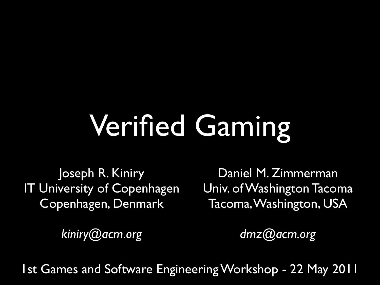## Verified Gaming

Joseph R. Kiniry IT University of Copenhagen Copenhagen, Denmark

Daniel M. Zimmerman Univ. of Washington Tacoma Tacoma, Washington, USA

*[kiniry@acm.org](mailto:dmz@acm.org)*

*[dmz@acm.org](mailto:kiniry@ucd.ie)*

1st Games and Software Engineering Workshop - 22 May 2011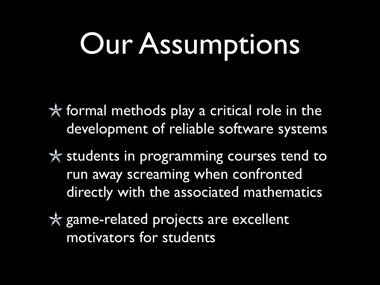#### Our Assumptions

\* formal methods play a critical role in the development of reliable software systems

\* students in programming courses tend to run away screaming when confronted directly with the associated mathematics

\* game-related projects are excellent motivators for students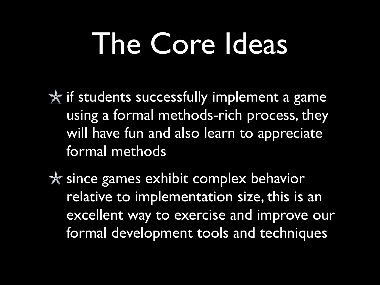#### The Core Ideas

 $*$  if students successfully implement a game using a formal methods-rich process, they will have fun and also learn to appreciate formal methods

\* since games exhibit complex behavior relative to implementation size, this is an excellent way to exercise and improve our formal development tools and techniques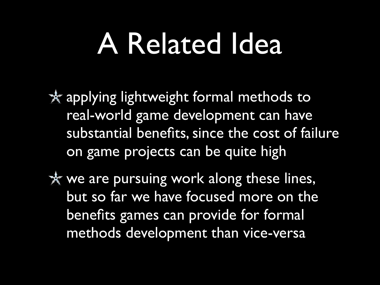#### A Related Idea

\* applying lightweight formal methods to real-world game development can have substantial benefits, since the cost of failure on game projects can be quite high

\* we are pursuing work along these lines, but so far we have focused more on the benefits games can provide for formal methods development than vice-versa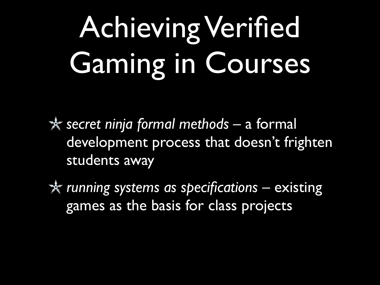# Achieving Verified Gaming in Courses

*secret ninja formal methods* – a formal development process that doesn't frighten students away

*running systems as specifications* – existing games as the basis for class projects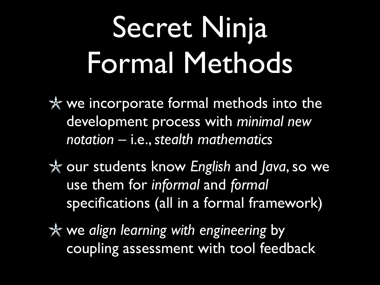#### Secret Ninja Formal Methods

\* we incorporate formal methods into the development process with *minimal new notation* – i.e., *stealth mathematics*

our students know *English* and *Java*, so we use them for *informal* and *formal* specifications (all in a formal framework)

we *align learning with engineering* by coupling assessment with tool feedback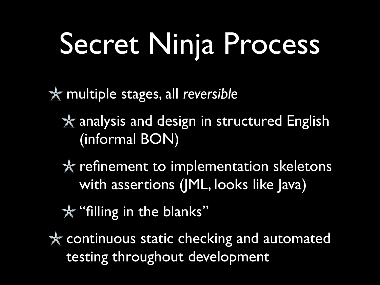# Secret Ninja Process

multiple stages, all *reversible*

\* analysis and design in structured English (informal BON)

\* refinement to implementation skeletons with assertions (JML, looks like Java)

\*\* "filling in the blanks"

\* continuous static checking and automated testing throughout development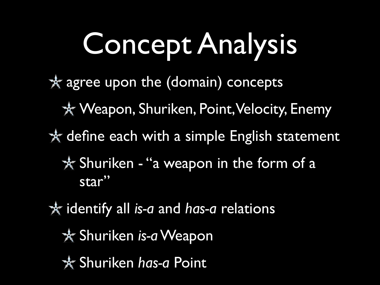# Concept Analysis

- agree upon the (domain) concepts
	- \* Weapon, Shuriken, Point, Velocity, Enemy
- \* define each with a simple English statement
	- \* Shuriken "a weapon in the form of a star"
- identify all *is-a* and *has-a* relations
	- Shuriken *is-a* Weapon
	- Shuriken *has-a* Point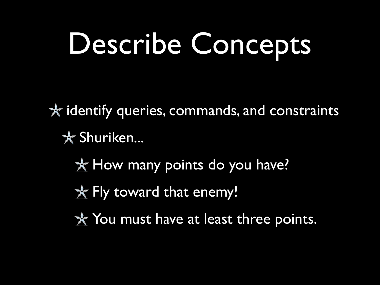# Describe Concepts

 $*$  identify queries, commands, and constraints \* Shuriken...

- \* How many points do you have?
- \* Fly toward that enemy!
- \* You must have at least three points.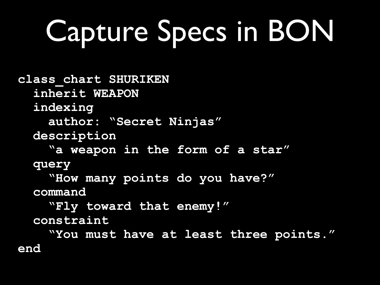# Capture Specs in BON

**class\_chart SHURIKEN inherit WEAPON indexing author: "Secret Ninjas" description "a weapon in the form of a star" query "How many points do you have?" command "Fly toward that enemy!" constraint "You must have at least three points." end**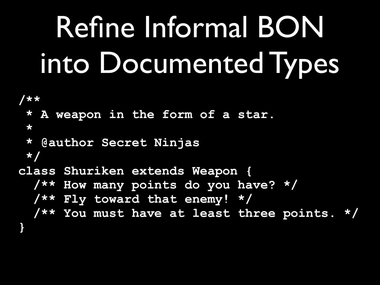# Refine Informal BON into Documented Types

```
/**
 * A weapon in the form of a star.
  *
 * @author Secret Ninjas
 */
class Shuriken extends Weapon {
   /** How many points do you have? */
   /** Fly toward that enemy! */
   /** You must have at least three points. */
```
**}**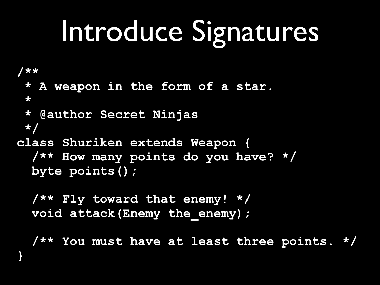#### Introduce Signatures

```
/**
  * A weapon in the form of a star.
  *
  * @author Secret Ninjas
  */
class Shuriken extends Weapon {
  /** How many points do you have? */
   byte points();
```
 **/\*\* Fly toward that enemy! \*/ void attack(Enemy the\_enemy);**

**}**

 **/\*\* You must have at least three points. \*/**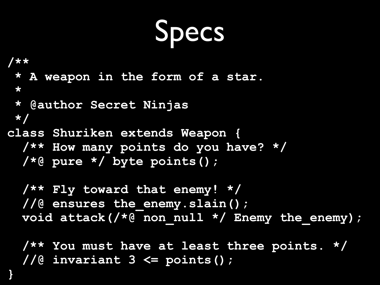Specs

```
/**
 * A weapon in the form of a star.
  *
  * @author Secret Ninjas
 */
class Shuriken extends Weapon {
   /** How many points do you have? */
   /*@ pure */ byte points();
   /** Fly toward that enemy! */
   //@ ensures the_enemy.slain();
   void attack(/*@ non_null */ Enemy the_enemy);
```
 **/\*\* You must have at least three points. \*/ //@ invariant 3 <= points();**

**}**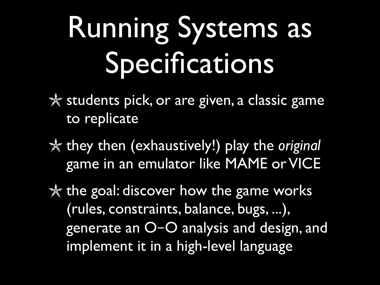#### Running Systems as Specifications

\* students pick, or are given, a classic game to replicate

they then (exhaustively!) play the *original* game in an emulator like MAME or VICE

\* the goal: discover how the game works (rules, constraints, balance, bugs, ...), generate an O–O analysis and design, and implement it in a high-level language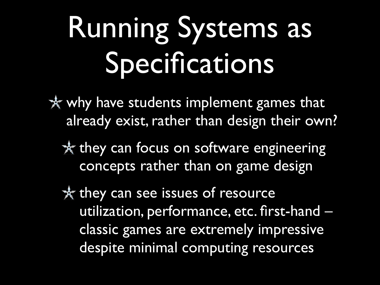#### Running Systems as Specifications

\* why have students implement games that already exist, rather than design their own?

\* they can focus on software engineering concepts rather than on game design

\* they can see issues of resource utilization, performance, etc. first-hand – classic games are extremely impressive despite minimal computing resources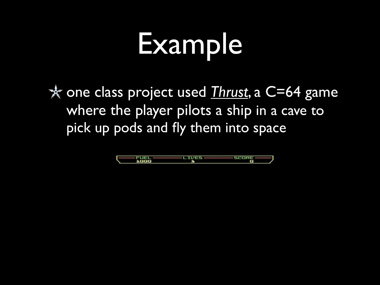# Example

one class project used *[Thrust](http://en.wikipedia.org/wiki/Thrust_(video_game))*, a C=64 game where the player pilots a ship in a cave to pick up pods and fly them into space

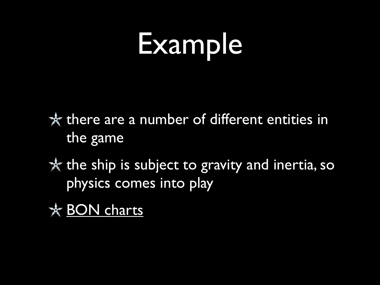# Example

\* there are a number of different entities in the game

 $*$  the ship is subject to gravity and inertia, so physics comes into play

\* [BON charts](http://www.verifiedgaming.org/thrust-bon.html)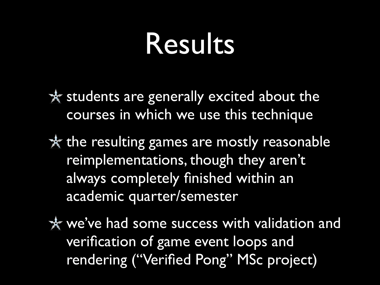#### Results

\* students are generally excited about the courses in which we use this technique

\* the resulting games are mostly reasonable reimplementations, though they aren't always completely finished within an academic quarter/semester

\* we've had some success with validation and verification of game event loops and rendering ("Verified Pong" MSc project)